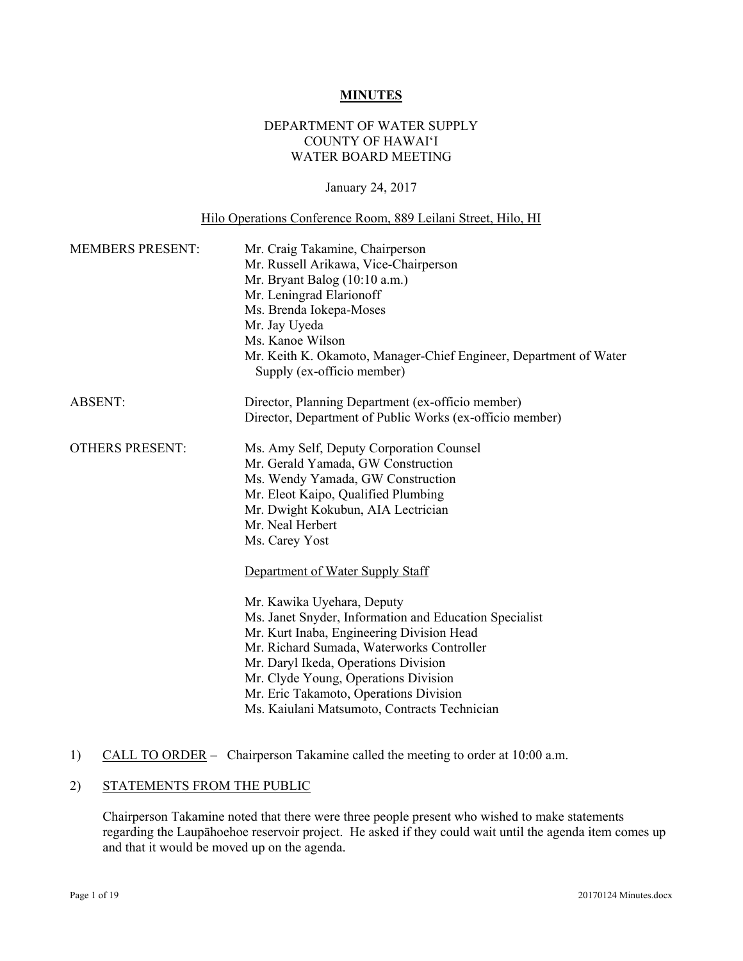#### **MINUTES**

# DEPARTMENT OF WATER SUPPLY COUNTY OF HAWAI'I WATER BOARD MEETING

#### January 24, 2017

# Hilo Operations Conference Room, 889 Leilani Street, Hilo, HI

| <b>MEMBERS PRESENT:</b> | Mr. Craig Takamine, Chairperson<br>Mr. Russell Arikawa, Vice-Chairperson<br>Mr. Bryant Balog (10:10 a.m.)<br>Mr. Leningrad Elarionoff<br>Ms. Brenda Iokepa-Moses<br>Mr. Jay Uyeda<br>Ms. Kanoe Wilson<br>Mr. Keith K. Okamoto, Manager-Chief Engineer, Department of Water<br>Supply (ex-officio member) |  |  |
|-------------------------|----------------------------------------------------------------------------------------------------------------------------------------------------------------------------------------------------------------------------------------------------------------------------------------------------------|--|--|
| <b>ABSENT:</b>          | Director, Planning Department (ex-officio member)<br>Director, Department of Public Works (ex-officio member)                                                                                                                                                                                            |  |  |
|                         |                                                                                                                                                                                                                                                                                                          |  |  |
| <b>OTHERS PRESENT:</b>  | Ms. Amy Self, Deputy Corporation Counsel<br>Mr. Gerald Yamada, GW Construction                                                                                                                                                                                                                           |  |  |
|                         | Ms. Wendy Yamada, GW Construction                                                                                                                                                                                                                                                                        |  |  |
|                         | Mr. Eleot Kaipo, Qualified Plumbing                                                                                                                                                                                                                                                                      |  |  |
|                         | Mr. Dwight Kokubun, AIA Lectrician                                                                                                                                                                                                                                                                       |  |  |
|                         | Mr. Neal Herbert                                                                                                                                                                                                                                                                                         |  |  |
|                         | Ms. Carey Yost                                                                                                                                                                                                                                                                                           |  |  |
|                         | Department of Water Supply Staff                                                                                                                                                                                                                                                                         |  |  |
|                         | Mr. Kawika Uyehara, Deputy                                                                                                                                                                                                                                                                               |  |  |
|                         | Ms. Janet Snyder, Information and Education Specialist                                                                                                                                                                                                                                                   |  |  |
|                         | Mr. Kurt Inaba, Engineering Division Head                                                                                                                                                                                                                                                                |  |  |
|                         | Mr. Richard Sumada, Waterworks Controller                                                                                                                                                                                                                                                                |  |  |
|                         | Mr. Daryl Ikeda, Operations Division                                                                                                                                                                                                                                                                     |  |  |
|                         | Mr. Clyde Young, Operations Division                                                                                                                                                                                                                                                                     |  |  |
|                         | Mr. Eric Takamoto, Operations Division                                                                                                                                                                                                                                                                   |  |  |
|                         | Ms. Kaiulani Matsumoto, Contracts Technician                                                                                                                                                                                                                                                             |  |  |

# 1) CALL TO ORDER – Chairperson Takamine called the meeting to order at 10:00 a.m.

# 2) STATEMENTS FROM THE PUBLIC

Chairperson Takamine noted that there were three people present who wished to make statements regarding the Laupāhoehoe reservoir project. He asked if they could wait until the agenda item comes up and that it would be moved up on the agenda.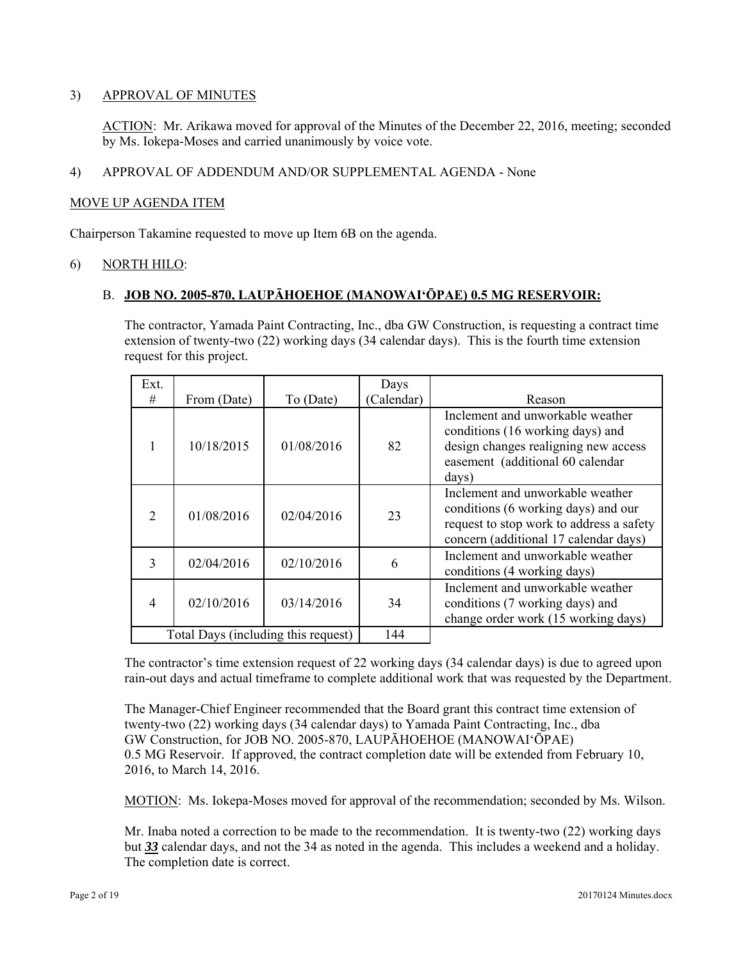# 3) APPROVAL OF MINUTES

ACTION: Mr. Arikawa moved for approval of the Minutes of the December 22, 2016, meeting; seconded by Ms. Iokepa-Moses and carried unanimously by voice vote.

# 4) APPROVAL OF ADDENDUM AND/OR SUPPLEMENTAL AGENDA - None

# MOVE UP AGENDA ITEM

Chairperson Takamine requested to move up Item 6B on the agenda.

# 6) NORTH HILO:

# B. **JOB NO. 2005-870, LAUPĀHOEHOE (MANOWAI'ŌPAE) 0.5 MG RESERVOIR:**

The contractor, Yamada Paint Contracting, Inc., dba GW Construction, is requesting a contract time extension of twenty-two (22) working days (34 calendar days). This is the fourth time extension request for this project.

| Ext.                                |             |            | Days       |                                                                                                                                                              |
|-------------------------------------|-------------|------------|------------|--------------------------------------------------------------------------------------------------------------------------------------------------------------|
| #                                   | From (Date) | To (Date)  | (Calendar) | Reason                                                                                                                                                       |
|                                     | 10/18/2015  | 01/08/2016 | 82         | Inclement and unworkable weather<br>conditions (16 working days) and<br>design changes realigning new access<br>easement (additional 60 calendar<br>days)    |
| $\mathcal{D}_{\mathcal{L}}$         | 01/08/2016  | 02/04/2016 | 23         | Inclement and unworkable weather<br>conditions (6 working days) and our<br>request to stop work to address a safety<br>concern (additional 17 calendar days) |
| 3                                   | 02/04/2016  | 02/10/2016 | 6          | Inclement and unworkable weather<br>conditions (4 working days)                                                                                              |
| 4                                   | 02/10/2016  | 03/14/2016 | 34         | Inclement and unworkable weather<br>conditions (7 working days) and<br>change order work (15 working days)                                                   |
| Total Days (including this request) |             | 144        |            |                                                                                                                                                              |

The contractor's time extension request of 22 working days (34 calendar days) is due to agreed upon rain-out days and actual timeframe to complete additional work that was requested by the Department.

The Manager-Chief Engineer recommended that the Board grant this contract time extension of twenty-two (22) working days (34 calendar days) to Yamada Paint Contracting, Inc., dba GW Construction, for JOB NO. 2005-870, LAUPĀHOEHOE (MANOWAI'ŌPAE) 0.5 MG Reservoir. If approved, the contract completion date will be extended from February 10, 2016, to March 14, 2016.

MOTION: Ms. Iokepa-Moses moved for approval of the recommendation; seconded by Ms. Wilson.

Mr. Inaba noted a correction to be made to the recommendation. It is twenty-two (22) working days but *33* calendar days, and not the 34 as noted in the agenda. This includes a weekend and a holiday. The completion date is correct.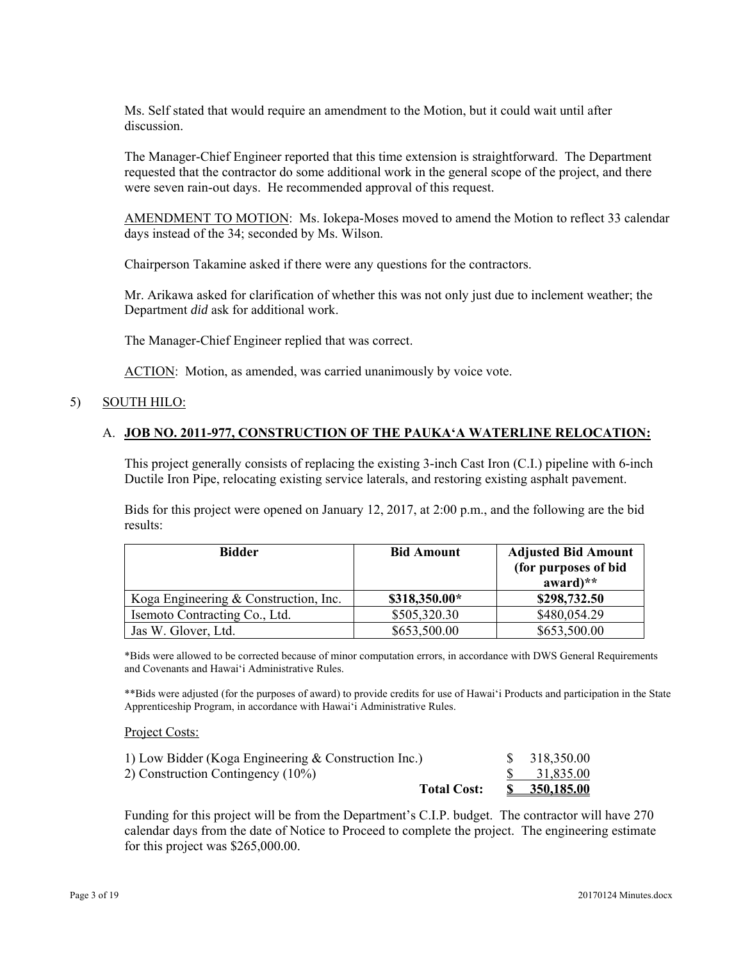Ms. Self stated that would require an amendment to the Motion, but it could wait until after discussion.

The Manager-Chief Engineer reported that this time extension is straightforward. The Department requested that the contractor do some additional work in the general scope of the project, and there were seven rain-out days. He recommended approval of this request.

AMENDMENT TO MOTION: Ms. Iokepa-Moses moved to amend the Motion to reflect 33 calendar days instead of the 34; seconded by Ms. Wilson.

Chairperson Takamine asked if there were any questions for the contractors.

Mr. Arikawa asked for clarification of whether this was not only just due to inclement weather; the Department *did* ask for additional work.

The Manager-Chief Engineer replied that was correct.

ACTION: Motion, as amended, was carried unanimously by voice vote.

#### 5) SOUTH HILO:

# A. **JOB NO. 2011-977, CONSTRUCTION OF THE PAUKA'A WATERLINE RELOCATION:**

This project generally consists of replacing the existing 3-inch Cast Iron (C.I.) pipeline with 6-inch Ductile Iron Pipe, relocating existing service laterals, and restoring existing asphalt pavement.

Bids for this project were opened on January 12, 2017, at 2:00 p.m., and the following are the bid results:

| <b>Bidder</b>                         | <b>Bid Amount</b> | <b>Adjusted Bid Amount</b><br>(for purposes of bid<br>award) $**$ |
|---------------------------------------|-------------------|-------------------------------------------------------------------|
| Koga Engineering & Construction, Inc. | \$318,350.00*     | \$298,732.50                                                      |
| Isemoto Contracting Co., Ltd.         | \$505,320.30      | \$480,054.29                                                      |
| Jas W. Glover, Ltd.                   | \$653,500.00      | \$653,500.00                                                      |

\*Bids were allowed to be corrected because of minor computation errors, in accordance with DWS General Requirements and Covenants and Hawai'i Administrative Rules.

\*\*Bids were adjusted (for the purposes of award) to provide credits for use of Hawai'i Products and participation in the State Apprenticeship Program, in accordance with Hawai'i Administrative Rules.

Project Costs:

| <b>Total Cost:</b>                                     | \$350,185.00 |
|--------------------------------------------------------|--------------|
| 2) Construction Contingency (10%)                      | 31,835.00    |
| 1) Low Bidder (Koga Engineering $&$ Construction Inc.) | \$318,350.00 |

Funding for this project will be from the Department's C.I.P. budget. The contractor will have 270 calendar days from the date of Notice to Proceed to complete the project. The engineering estimate for this project was \$265,000.00.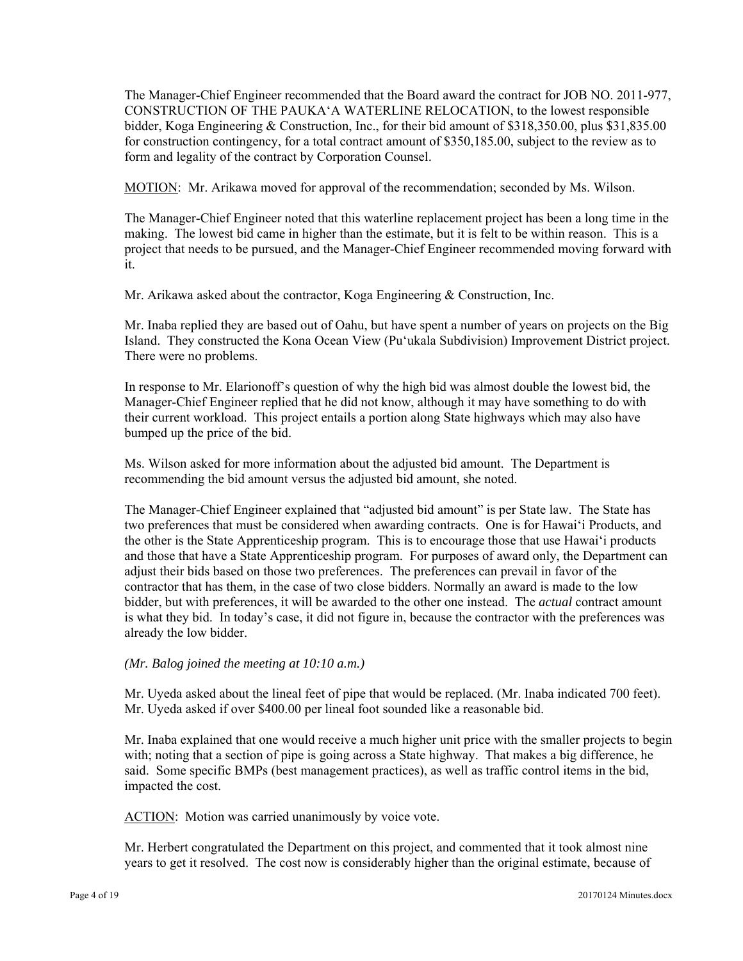The Manager-Chief Engineer recommended that the Board award the contract for JOB NO. 2011-977, CONSTRUCTION OF THE PAUKA'A WATERLINE RELOCATION, to the lowest responsible bidder, Koga Engineering & Construction, Inc., for their bid amount of \$318,350.00, plus \$31,835.00 for construction contingency, for a total contract amount of \$350,185.00, subject to the review as to form and legality of the contract by Corporation Counsel.

MOTION: Mr. Arikawa moved for approval of the recommendation; seconded by Ms. Wilson.

The Manager-Chief Engineer noted that this waterline replacement project has been a long time in the making. The lowest bid came in higher than the estimate, but it is felt to be within reason. This is a project that needs to be pursued, and the Manager-Chief Engineer recommended moving forward with it.

Mr. Arikawa asked about the contractor, Koga Engineering & Construction, Inc.

Mr. Inaba replied they are based out of Oahu, but have spent a number of years on projects on the Big Island. They constructed the Kona Ocean View (Puʻukala Subdivision) Improvement District project. There were no problems.

In response to Mr. Elarionoff's question of why the high bid was almost double the lowest bid, the Manager-Chief Engineer replied that he did not know, although it may have something to do with their current workload. This project entails a portion along State highways which may also have bumped up the price of the bid.

Ms. Wilson asked for more information about the adjusted bid amount. The Department is recommending the bid amount versus the adjusted bid amount, she noted.

 and those that have a State Apprenticeship program. For purposes of award only, the Department can The Manager-Chief Engineer explained that "adjusted bid amount" is per State law. The State has two preferences that must be considered when awarding contracts. One is for Hawai'i Products, and the other is the State Apprenticeship program. This is to encourage those that use Hawai'i products adjust their bids based on those two preferences. The preferences can prevail in favor of the contractor that has them, in the case of two close bidders. Normally an award is made to the low bidder, but with preferences, it will be awarded to the other one instead. The *actual* contract amount is what they bid. In today's case, it did not figure in, because the contractor with the preferences was already the low bidder.

#### *(Mr. Balog joined the meeting at 10:10 a.m.)*

Mr. Uyeda asked about the lineal feet of pipe that would be replaced. (Mr. Inaba indicated 700 feet). Mr. Uyeda asked if over \$400.00 per lineal foot sounded like a reasonable bid.

Mr. Inaba explained that one would receive a much higher unit price with the smaller projects to begin with; noting that a section of pipe is going across a State highway. That makes a big difference, he said. Some specific BMPs (best management practices), as well as traffic control items in the bid, impacted the cost.

ACTION: Motion was carried unanimously by voice vote.

Mr. Herbert congratulated the Department on this project, and commented that it took almost nine years to get it resolved. The cost now is considerably higher than the original estimate, because of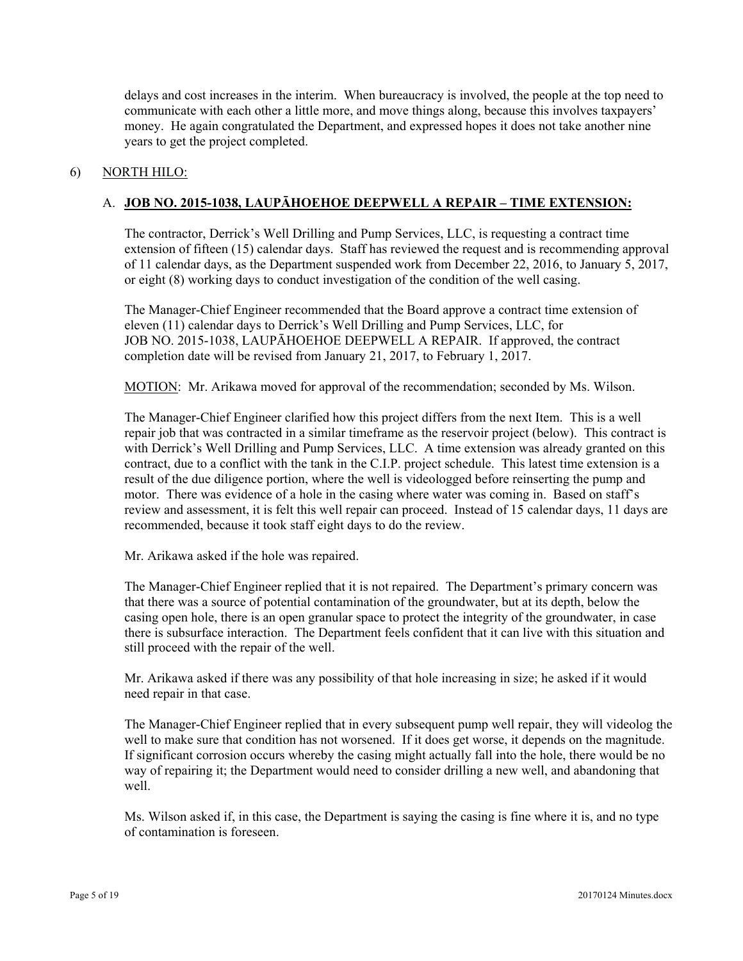delays and cost increases in the interim. When bureaucracy is involved, the people at the top need to communicate with each other a little more, and move things along, because this involves taxpayers' money. He again congratulated the Department, and expressed hopes it does not take another nine years to get the project completed.

### 6) NORTH HILO:

# A. **JOB NO. 2015-1038, LAUPĀHOEHOE DEEPWELL A REPAIR – TIME EXTENSION:**

The contractor, Derrick's Well Drilling and Pump Services, LLC, is requesting a contract time extension of fifteen (15) calendar days. Staff has reviewed the request and is recommending approval of 11 calendar days, as the Department suspended work from December 22, 2016, to January 5, 2017, or eight (8) working days to conduct investigation of the condition of the well casing.

The Manager-Chief Engineer recommended that the Board approve a contract time extension of eleven (11) calendar days to Derrick's Well Drilling and Pump Services, LLC, for JOB NO. 2015-1038, LAUPĀHOEHOE DEEPWELL A REPAIR. If approved, the contract completion date will be revised from January 21, 2017, to February 1, 2017.

MOTION: Mr. Arikawa moved for approval of the recommendation; seconded by Ms. Wilson.

The Manager-Chief Engineer clarified how this project differs from the next Item. This is a well repair job that was contracted in a similar timeframe as the reservoir project (below). This contract is with Derrick's Well Drilling and Pump Services, LLC. A time extension was already granted on this contract, due to a conflict with the tank in the C.I.P. project schedule. This latest time extension is a result of the due diligence portion, where the well is videologged before reinserting the pump and motor. There was evidence of a hole in the casing where water was coming in. Based on staff's review and assessment, it is felt this well repair can proceed. Instead of 15 calendar days, 11 days are recommended, because it took staff eight days to do the review.

Mr. Arikawa asked if the hole was repaired.

The Manager-Chief Engineer replied that it is not repaired. The Department's primary concern was that there was a source of potential contamination of the groundwater, but at its depth, below the casing open hole, there is an open granular space to protect the integrity of the groundwater, in case there is subsurface interaction. The Department feels confident that it can live with this situation and still proceed with the repair of the well.

Mr. Arikawa asked if there was any possibility of that hole increasing in size; he asked if it would need repair in that case.

The Manager-Chief Engineer replied that in every subsequent pump well repair, they will videolog the well to make sure that condition has not worsened. If it does get worse, it depends on the magnitude. If significant corrosion occurs whereby the casing might actually fall into the hole, there would be no way of repairing it; the Department would need to consider drilling a new well, and abandoning that well.

Ms. Wilson asked if, in this case, the Department is saying the casing is fine where it is, and no type of contamination is foreseen.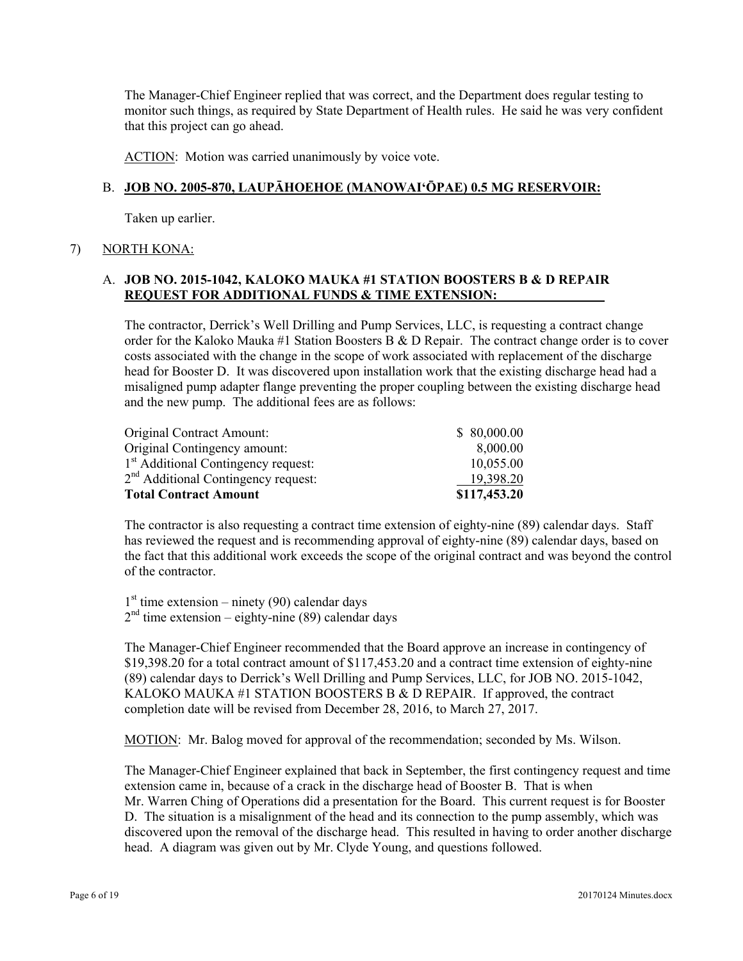The Manager-Chief Engineer replied that was correct, and the Department does regular testing to monitor such things, as required by State Department of Health rules. He said he was very confident that this project can go ahead.

ACTION: Motion was carried unanimously by voice vote.

# B. **JOB NO. 2005-870, LAUPĀHOEHOE (MANOWAI'ŌPAE) 0.5 MG RESERVOIR:**

Taken up earlier.

# 7) NORTH KONA:

# A. **JOB NO. 2015-1042, KALOKO MAUKA #1 STATION BOOSTERS B & D REPAIR REQUEST FOR ADDITIONAL FUNDS & TIME EXTENSION:**

The contractor, Derrick's Well Drilling and Pump Services, LLC, is requesting a contract change order for the Kaloko Mauka #1 Station Boosters B & D Repair. The contract change order is to cover costs associated with the change in the scope of work associated with replacement of the discharge head for Booster D. It was discovered upon installation work that the existing discharge head had a misaligned pump adapter flange preventing the proper coupling between the existing discharge head and the new pump. The additional fees are as follows:

| Original Contract Amount:<br>Original Contingency amount: | \$80,000.00<br>8,000.00 |
|-----------------------------------------------------------|-------------------------|
| 1 <sup>st</sup> Additional Contingency request:           | 10,055.00               |
| 2 <sup>nd</sup> Additional Contingency request:           | 19,398.20               |
| <b>Total Contract Amount</b>                              | \$117,453.20            |

The contractor is also requesting a contract time extension of eighty-nine (89) calendar days. Staff has reviewed the request and is recommending approval of eighty-nine (89) calendar days, based on the fact that this additional work exceeds the scope of the original contract and was beyond the control of the contractor.

 $1<sup>st</sup>$  time extension – ninety (90) calendar days  $2<sup>nd</sup>$  time extension – eighty-nine (89) calendar days

The Manager-Chief Engineer recommended that the Board approve an increase in contingency of \$19,398.20 for a total contract amount of \$117,453.20 and a contract time extension of eighty-nine (89) calendar days to Derrick's Well Drilling and Pump Services, LLC, for JOB NO. 2015-1042, KALOKO MAUKA #1 STATION BOOSTERS B & D REPAIR. If approved, the contract completion date will be revised from December 28, 2016, to March 27, 2017.

MOTION: Mr. Balog moved for approval of the recommendation; seconded by Ms. Wilson.

The Manager-Chief Engineer explained that back in September, the first contingency request and time extension came in, because of a crack in the discharge head of Booster B. That is when Mr. Warren Ching of Operations did a presentation for the Board. This current request is for Booster D. The situation is a misalignment of the head and its connection to the pump assembly, which was discovered upon the removal of the discharge head. This resulted in having to order another discharge head. A diagram was given out by Mr. Clyde Young, and questions followed.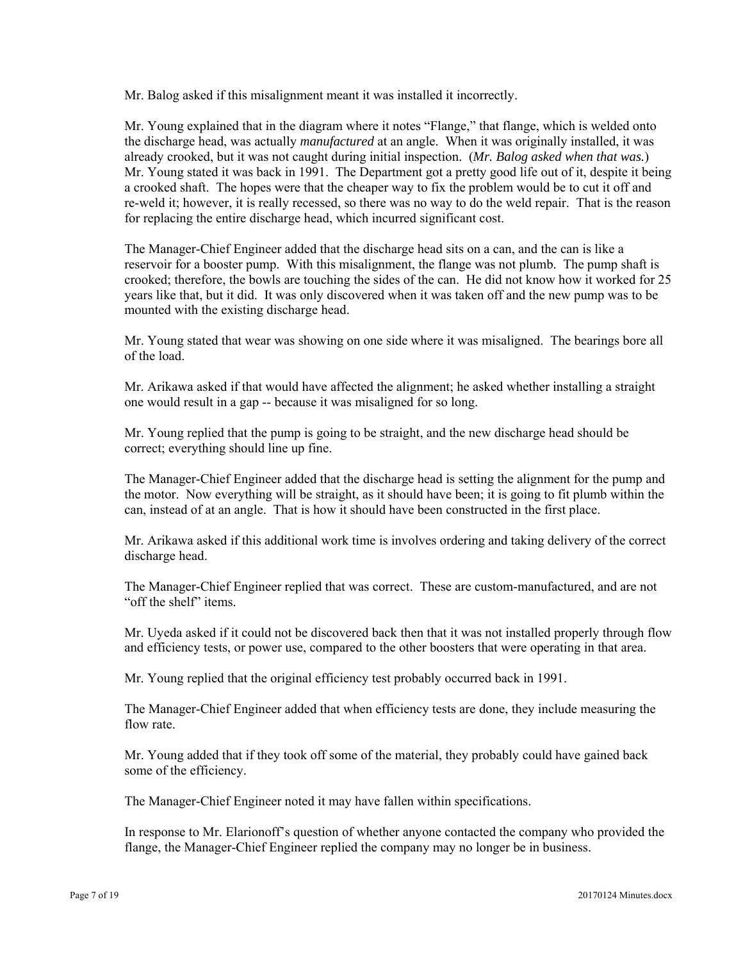Mr. Balog asked if this misalignment meant it was installed it incorrectly.

Mr. Young explained that in the diagram where it notes "Flange," that flange, which is welded onto the discharge head, was actually *manufactured* at an angle. When it was originally installed, it was already crooked, but it was not caught during initial inspection. (*Mr. Balog asked when that was.*) Mr. Young stated it was back in 1991. The Department got a pretty good life out of it, despite it being a crooked shaft. The hopes were that the cheaper way to fix the problem would be to cut it off and re-weld it; however, it is really recessed, so there was no way to do the weld repair. That is the reason for replacing the entire discharge head, which incurred significant cost.

The Manager-Chief Engineer added that the discharge head sits on a can, and the can is like a reservoir for a booster pump. With this misalignment, the flange was not plumb. The pump shaft is crooked; therefore, the bowls are touching the sides of the can. He did not know how it worked for 25 years like that, but it did. It was only discovered when it was taken off and the new pump was to be mounted with the existing discharge head.

Mr. Young stated that wear was showing on one side where it was misaligned. The bearings bore all of the load.

Mr. Arikawa asked if that would have affected the alignment; he asked whether installing a straight one would result in a gap -- because it was misaligned for so long.

Mr. Young replied that the pump is going to be straight, and the new discharge head should be correct; everything should line up fine.

The Manager-Chief Engineer added that the discharge head is setting the alignment for the pump and the motor. Now everything will be straight, as it should have been; it is going to fit plumb within the can, instead of at an angle. That is how it should have been constructed in the first place.

Mr. Arikawa asked if this additional work time is involves ordering and taking delivery of the correct discharge head.

The Manager-Chief Engineer replied that was correct. These are custom-manufactured, and are not "off the shelf" items.

Mr. Uyeda asked if it could not be discovered back then that it was not installed properly through flow and efficiency tests, or power use, compared to the other boosters that were operating in that area.

Mr. Young replied that the original efficiency test probably occurred back in 1991.

The Manager-Chief Engineer added that when efficiency tests are done, they include measuring the flow rate.

Mr. Young added that if they took off some of the material, they probably could have gained back some of the efficiency.

The Manager-Chief Engineer noted it may have fallen within specifications.

In response to Mr. Elarionoff's question of whether anyone contacted the company who provided the flange, the Manager-Chief Engineer replied the company may no longer be in business.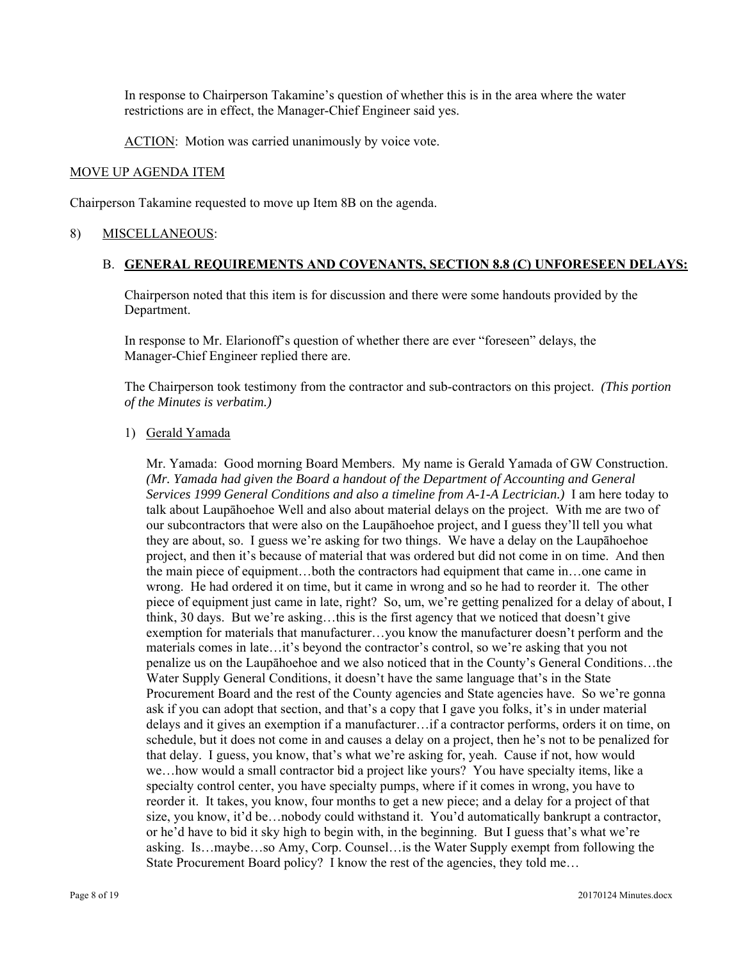In response to Chairperson Takamine's question of whether this is in the area where the water restrictions are in effect, the Manager-Chief Engineer said yes.

ACTION: Motion was carried unanimously by voice vote.

#### MOVE UP AGENDA ITEM

Chairperson Takamine requested to move up Item 8B on the agenda.

#### 8) MISCELLANEOUS:

#### B. **GENERAL REQUIREMENTS AND COVENANTS, SECTION 8.8 (C) UNFORESEEN DELAYS:**

Chairperson noted that this item is for discussion and there were some handouts provided by the Department.

In response to Mr. Elarionoff's question of whether there are ever "foreseen" delays, the Manager-Chief Engineer replied there are.

The Chairperson took testimony from the contractor and sub-contractors on this project. *(This portion of the Minutes is verbatim.)* 

#### 1) Gerald Yamada

 size, you know, it'd be…nobody could withstand it. You'd automatically bankrupt a contractor, Mr. Yamada: Good morning Board Members. My name is Gerald Yamada of GW Construction. *(Mr. Yamada had given the Board a handout of the Department of Accounting and General Services 1999 General Conditions and also a timeline from A-1-A Lectrician.)* I am here today to talk about Laupāhoehoe Well and also about material delays on the project. With me are two of our subcontractors that were also on the Laupāhoehoe project, and I guess they'll tell you what they are about, so. I guess we're asking for two things. We have a delay on the Laupāhoehoe project, and then it's because of material that was ordered but did not come in on time. And then the main piece of equipment…both the contractors had equipment that came in…one came in wrong. He had ordered it on time, but it came in wrong and so he had to reorder it. The other piece of equipment just came in late, right? So, um, we're getting penalized for a delay of about, I think, 30 days. But we're asking…this is the first agency that we noticed that doesn't give exemption for materials that manufacturer…you know the manufacturer doesn't perform and the materials comes in late…it's beyond the contractor's control, so we're asking that you not penalize us on the Laupāhoehoe and we also noticed that in the County's General Conditions…the Water Supply General Conditions, it doesn't have the same language that's in the State Procurement Board and the rest of the County agencies and State agencies have. So we're gonna ask if you can adopt that section, and that's a copy that I gave you folks, it's in under material delays and it gives an exemption if a manufacturer…if a contractor performs, orders it on time, on schedule, but it does not come in and causes a delay on a project, then he's not to be penalized for that delay. I guess, you know, that's what we're asking for, yeah. Cause if not, how would we…how would a small contractor bid a project like yours? You have specialty items, like a specialty control center, you have specialty pumps, where if it comes in wrong, you have to reorder it. It takes, you know, four months to get a new piece; and a delay for a project of that or he'd have to bid it sky high to begin with, in the beginning. But I guess that's what we're asking. Is…maybe…so Amy, Corp. Counsel…is the Water Supply exempt from following the State Procurement Board policy? I know the rest of the agencies, they told me…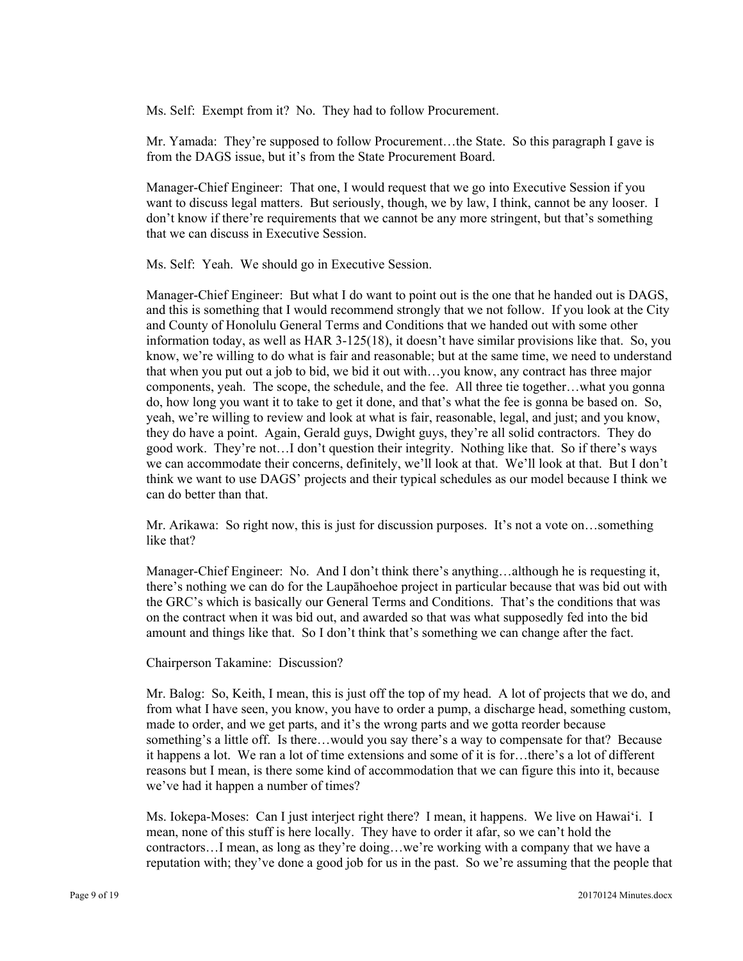Ms. Self: Exempt from it? No. They had to follow Procurement.

Mr. Yamada: They're supposed to follow Procurement...the State. So this paragraph I gave is from the DAGS issue, but it's from the State Procurement Board.

Manager-Chief Engineer: That one, I would request that we go into Executive Session if you want to discuss legal matters. But seriously, though, we by law, I think, cannot be any looser. I don't know if there're requirements that we cannot be any more stringent, but that's something that we can discuss in Executive Session.

Ms. Self: Yeah. We should go in Executive Session.

Manager-Chief Engineer: But what I do want to point out is the one that he handed out is DAGS, and this is something that I would recommend strongly that we not follow. If you look at the City and County of Honolulu General Terms and Conditions that we handed out with some other information today, as well as HAR 3-125(18), it doesn't have similar provisions like that. So, you know, we're willing to do what is fair and reasonable; but at the same time, we need to understand that when you put out a job to bid, we bid it out with…you know, any contract has three major components, yeah. The scope, the schedule, and the fee. All three tie together…what you gonna do, how long you want it to take to get it done, and that's what the fee is gonna be based on. So, yeah, we're willing to review and look at what is fair, reasonable, legal, and just; and you know, they do have a point. Again, Gerald guys, Dwight guys, they're all solid contractors. They do good work. They're not…I don't question their integrity. Nothing like that. So if there's ways we can accommodate their concerns, definitely, we'll look at that. We'll look at that. But I don't think we want to use DAGS' projects and their typical schedules as our model because I think we can do better than that.

Mr. Arikawa: So right now, this is just for discussion purposes. It's not a vote on…something like that?

Manager-Chief Engineer: No. And I don't think there's anything…although he is requesting it, there's nothing we can do for the Laupāhoehoe project in particular because that was bid out with the GRC's which is basically our General Terms and Conditions. That's the conditions that was on the contract when it was bid out, and awarded so that was what supposedly fed into the bid amount and things like that. So I don't think that's something we can change after the fact.

Chairperson Takamine: Discussion?

Mr. Balog: So, Keith, I mean, this is just off the top of my head. A lot of projects that we do, and from what I have seen, you know, you have to order a pump, a discharge head, something custom, made to order, and we get parts, and it's the wrong parts and we gotta reorder because something's a little off. Is there…would you say there's a way to compensate for that? Because it happens a lot. We ran a lot of time extensions and some of it is for…there's a lot of different reasons but I mean, is there some kind of accommodation that we can figure this into it, because we've had it happen a number of times?

Ms. Iokepa-Moses: Can I just interject right there? I mean, it happens. We live on Hawai'i. I mean, none of this stuff is here locally. They have to order it afar, so we can't hold the contractors…I mean, as long as they're doing…we're working with a company that we have a reputation with; they've done a good job for us in the past. So we're assuming that the people that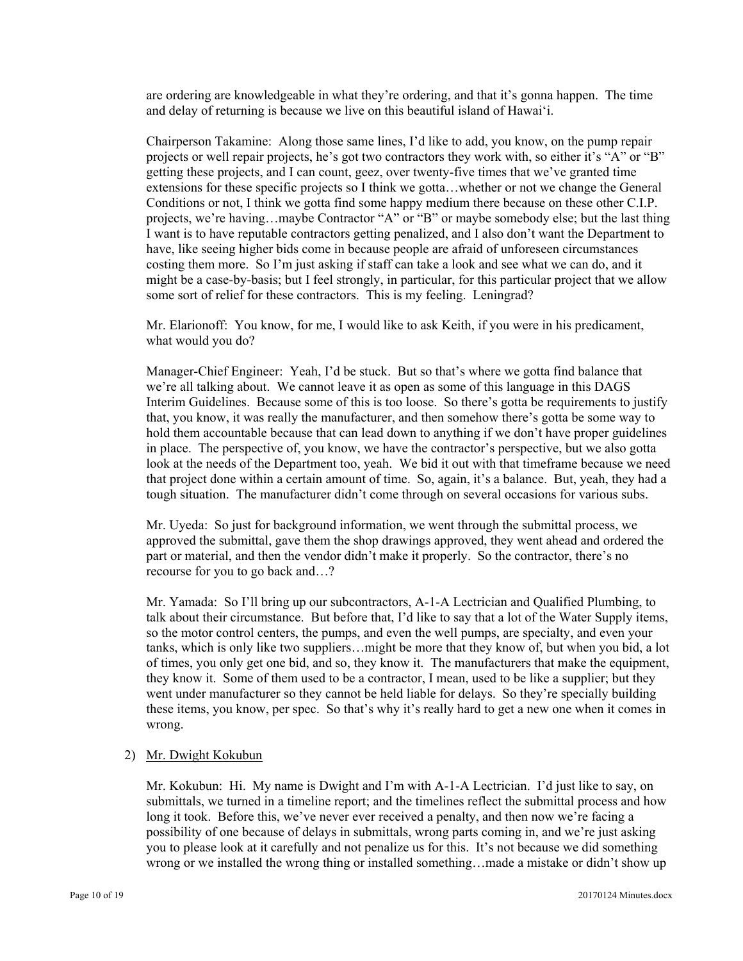are ordering are knowledgeable in what they're ordering, and that it's gonna happen. The time and delay of returning is because we live on this beautiful island of Hawai'i.

 Conditions or not, I think we gotta find some happy medium there because on these other C.I.P. Chairperson Takamine: Along those same lines, I'd like to add, you know, on the pump repair projects or well repair projects, he's got two contractors they work with, so either it's "A" or "B" getting these projects, and I can count, geez, over twenty-five times that we've granted time extensions for these specific projects so I think we gotta…whether or not we change the General projects, we're having...maybe Contractor "A" or "B" or maybe somebody else; but the last thing I want is to have reputable contractors getting penalized, and I also don't want the Department to have, like seeing higher bids come in because people are afraid of unforeseen circumstances costing them more. So I'm just asking if staff can take a look and see what we can do, and it might be a case-by-basis; but I feel strongly, in particular, for this particular project that we allow some sort of relief for these contractors. This is my feeling. Leningrad?

Mr. Elarionoff: You know, for me, I would like to ask Keith, if you were in his predicament, what would you do?

Manager-Chief Engineer: Yeah, I'd be stuck. But so that's where we gotta find balance that we're all talking about. We cannot leave it as open as some of this language in this DAGS Interim Guidelines. Because some of this is too loose. So there's gotta be requirements to justify that, you know, it was really the manufacturer, and then somehow there's gotta be some way to hold them accountable because that can lead down to anything if we don't have proper guidelines in place. The perspective of, you know, we have the contractor's perspective, but we also gotta look at the needs of the Department too, yeah. We bid it out with that timeframe because we need that project done within a certain amount of time. So, again, it's a balance. But, yeah, they had a tough situation. The manufacturer didn't come through on several occasions for various subs.

Mr. Uyeda: So just for background information, we went through the submittal process, we approved the submittal, gave them the shop drawings approved, they went ahead and ordered the part or material, and then the vendor didn't make it properly. So the contractor, there's no recourse for you to go back and…?

Mr. Yamada: So I'll bring up our subcontractors, A-1-A Lectrician and Qualified Plumbing, to talk about their circumstance. But before that, I'd like to say that a lot of the Water Supply items, so the motor control centers, the pumps, and even the well pumps, are specialty, and even your tanks, which is only like two suppliers…might be more that they know of, but when you bid, a lot of times, you only get one bid, and so, they know it. The manufacturers that make the equipment, they know it. Some of them used to be a contractor, I mean, used to be like a supplier; but they went under manufacturer so they cannot be held liable for delays. So they're specially building these items, you know, per spec. So that's why it's really hard to get a new one when it comes in wrong.

# 2) Mr. Dwight Kokubun

Mr. Kokubun: Hi. My name is Dwight and I'm with A-1-A Lectrician. I'd just like to say, on submittals, we turned in a timeline report; and the timelines reflect the submittal process and how long it took. Before this, we've never ever received a penalty, and then now we're facing a possibility of one because of delays in submittals, wrong parts coming in, and we're just asking you to please look at it carefully and not penalize us for this. It's not because we did something wrong or we installed the wrong thing or installed something…made a mistake or didn't show up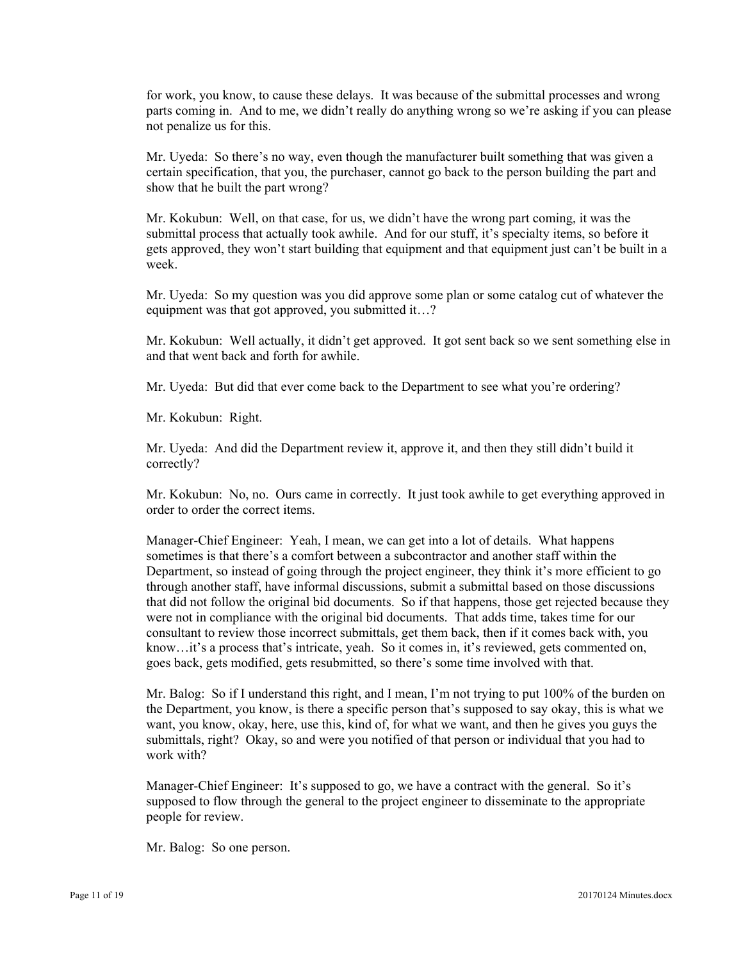for work, you know, to cause these delays. It was because of the submittal processes and wrong parts coming in. And to me, we didn't really do anything wrong so we're asking if you can please not penalize us for this.

Mr. Uyeda: So there's no way, even though the manufacturer built something that was given a certain specification, that you, the purchaser, cannot go back to the person building the part and show that he built the part wrong?

Mr. Kokubun: Well, on that case, for us, we didn't have the wrong part coming, it was the submittal process that actually took awhile. And for our stuff, it's specialty items, so before it gets approved, they won't start building that equipment and that equipment just can't be built in a week.

Mr. Uyeda: So my question was you did approve some plan or some catalog cut of whatever the equipment was that got approved, you submitted it…?

Mr. Kokubun: Well actually, it didn't get approved. It got sent back so we sent something else in and that went back and forth for awhile.

Mr. Uyeda: But did that ever come back to the Department to see what you're ordering?

Mr. Kokubun: Right.

Mr. Uyeda: And did the Department review it, approve it, and then they still didn't build it correctly?

Mr. Kokubun: No, no. Ours came in correctly. It just took awhile to get everything approved in order to order the correct items.

Manager-Chief Engineer: Yeah, I mean, we can get into a lot of details. What happens sometimes is that there's a comfort between a subcontractor and another staff within the Department, so instead of going through the project engineer, they think it's more efficient to go through another staff, have informal discussions, submit a submittal based on those discussions that did not follow the original bid documents. So if that happens, those get rejected because they were not in compliance with the original bid documents. That adds time, takes time for our consultant to review those incorrect submittals, get them back, then if it comes back with, you know…it's a process that's intricate, yeah. So it comes in, it's reviewed, gets commented on, goes back, gets modified, gets resubmitted, so there's some time involved with that.

Mr. Balog: So if I understand this right, and I mean, I'm not trying to put 100% of the burden on the Department, you know, is there a specific person that's supposed to say okay, this is what we want, you know, okay, here, use this, kind of, for what we want, and then he gives you guys the submittals, right? Okay, so and were you notified of that person or individual that you had to work with?

Manager-Chief Engineer: It's supposed to go, we have a contract with the general. So it's supposed to flow through the general to the project engineer to disseminate to the appropriate people for review.

Mr. Balog: So one person.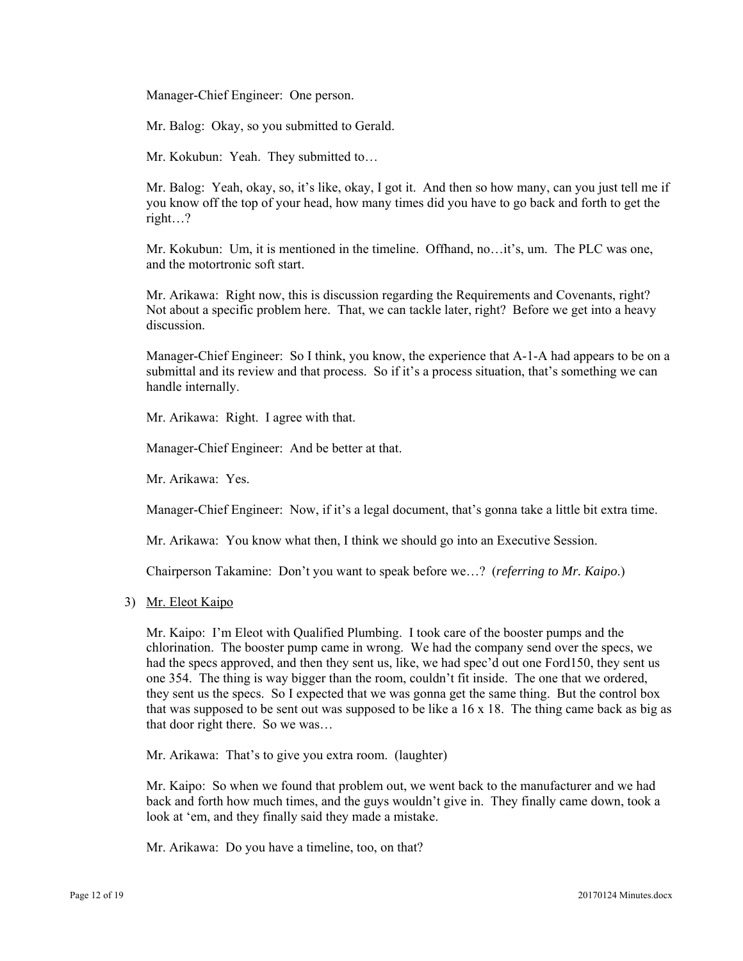Manager-Chief Engineer: One person.

Mr. Balog: Okay, so you submitted to Gerald.

Mr. Kokubun: Yeah. They submitted to…

Mr. Balog: Yeah, okay, so, it's like, okay, I got it. And then so how many, can you just tell me if you know off the top of your head, how many times did you have to go back and forth to get the right…?

Mr. Kokubun: Um, it is mentioned in the timeline. Offhand, no…it's, um. The PLC was one, and the motortronic soft start.

Mr. Arikawa: Right now, this is discussion regarding the Requirements and Covenants, right? Not about a specific problem here. That, we can tackle later, right? Before we get into a heavy discussion.

Manager-Chief Engineer: So I think, you know, the experience that A-1-A had appears to be on a submittal and its review and that process. So if it's a process situation, that's something we can handle internally.

Mr. Arikawa: Right. I agree with that.

Manager-Chief Engineer: And be better at that.

Mr. Arikawa: Yes.

Manager-Chief Engineer: Now, if it's a legal document, that's gonna take a little bit extra time.

Mr. Arikawa: You know what then, I think we should go into an Executive Session.

Chairperson Takamine: Don't you want to speak before we…? (*referring to Mr. Kaipo*.)

3) Mr. Eleot Kaipo

Mr. Kaipo: I'm Eleot with Qualified Plumbing. I took care of the booster pumps and the chlorination. The booster pump came in wrong. We had the company send over the specs, we had the specs approved, and then they sent us, like, we had spec'd out one Ford150, they sent us one 354. The thing is way bigger than the room, couldn't fit inside. The one that we ordered, they sent us the specs. So I expected that we was gonna get the same thing. But the control box that was supposed to be sent out was supposed to be like a 16 x 18. The thing came back as big as that door right there. So we was…

Mr. Arikawa: That's to give you extra room. (laughter)

Mr. Kaipo: So when we found that problem out, we went back to the manufacturer and we had back and forth how much times, and the guys wouldn't give in. They finally came down, took a look at 'em, and they finally said they made a mistake.

Mr. Arikawa: Do you have a timeline, too, on that?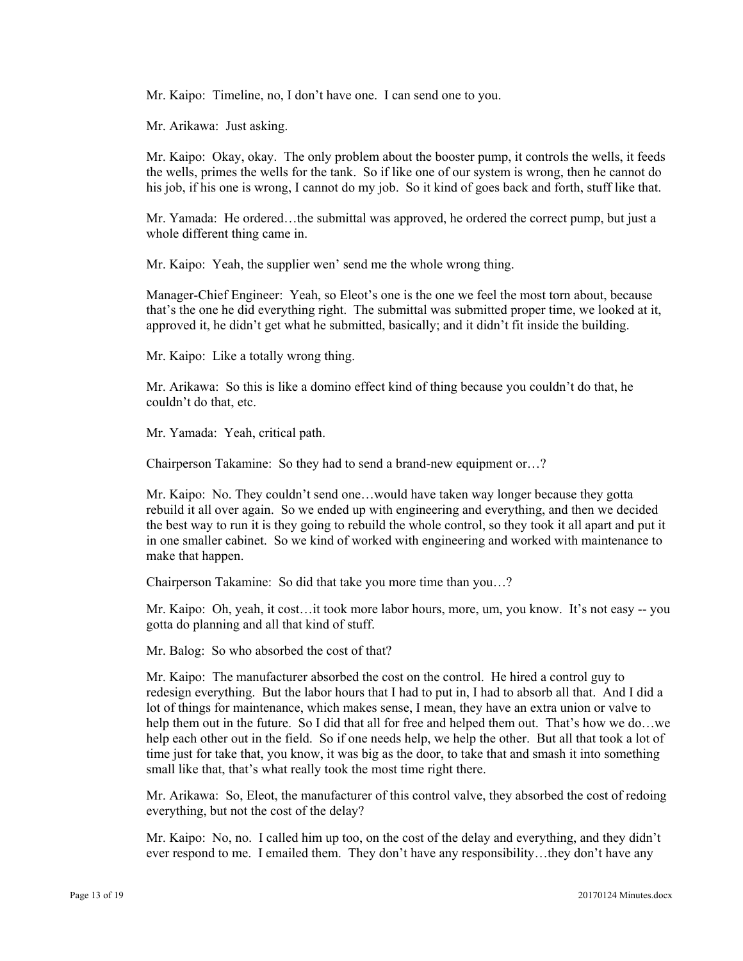Mr. Kaipo: Timeline, no, I don't have one. I can send one to you.

Mr. Arikawa: Just asking.

 Mr. Kaipo: Okay, okay. The only problem about the booster pump, it controls the wells, it feeds the wells, primes the wells for the tank. So if like one of our system is wrong, then he cannot do his job, if his one is wrong, I cannot do my job. So it kind of goes back and forth, stuff like that.

Mr. Yamada: He ordered…the submittal was approved, he ordered the correct pump, but just a whole different thing came in.

Mr. Kaipo: Yeah, the supplier wen' send me the whole wrong thing.

Manager-Chief Engineer: Yeah, so Eleot's one is the one we feel the most torn about, because that's the one he did everything right. The submittal was submitted proper time, we looked at it, approved it, he didn't get what he submitted, basically; and it didn't fit inside the building.

Mr. Kaipo: Like a totally wrong thing.

Mr. Arikawa: So this is like a domino effect kind of thing because you couldn't do that, he couldn't do that, etc.

Mr. Yamada: Yeah, critical path.

Chairperson Takamine: So they had to send a brand-new equipment or…?

Mr. Kaipo: No. They couldn't send one…would have taken way longer because they gotta rebuild it all over again. So we ended up with engineering and everything, and then we decided the best way to run it is they going to rebuild the whole control, so they took it all apart and put it in one smaller cabinet. So we kind of worked with engineering and worked with maintenance to make that happen.

Chairperson Takamine: So did that take you more time than you…?

Mr. Kaipo: Oh, yeah, it cost…it took more labor hours, more, um, you know. It's not easy -- you gotta do planning and all that kind of stuff.

Mr. Balog: So who absorbed the cost of that?

Mr. Kaipo: The manufacturer absorbed the cost on the control. He hired a control guy to redesign everything. But the labor hours that I had to put in, I had to absorb all that. And I did a lot of things for maintenance, which makes sense, I mean, they have an extra union or valve to help them out in the future. So I did that all for free and helped them out. That's how we do…we help each other out in the field. So if one needs help, we help the other. But all that took a lot of time just for take that, you know, it was big as the door, to take that and smash it into something small like that, that's what really took the most time right there.

Mr. Arikawa: So, Eleot, the manufacturer of this control valve, they absorbed the cost of redoing everything, but not the cost of the delay?

Mr. Kaipo: No, no. I called him up too, on the cost of the delay and everything, and they didn't ever respond to me. I emailed them. They don't have any responsibility…they don't have any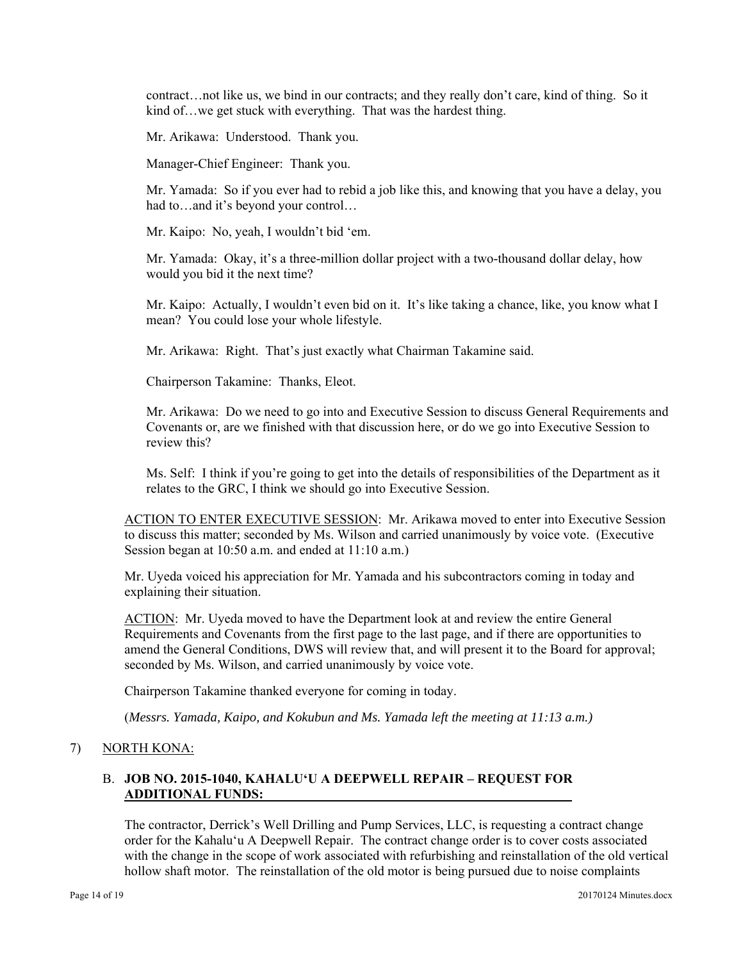contract…not like us, we bind in our contracts; and they really don't care, kind of thing. So it kind of...we get stuck with everything. That was the hardest thing.

Mr. Arikawa: Understood. Thank you.

Manager-Chief Engineer: Thank you.

Mr. Yamada: So if you ever had to rebid a job like this, and knowing that you have a delay, you had to…and it's beyond your control…

Mr. Kaipo: No, yeah, I wouldn't bid 'em.

Mr. Yamada: Okay, it's a three-million dollar project with a two-thousand dollar delay, how would you bid it the next time?

Mr. Kaipo: Actually, I wouldn't even bid on it. It's like taking a chance, like, you know what I mean? You could lose your whole lifestyle.

Mr. Arikawa: Right. That's just exactly what Chairman Takamine said.

Chairperson Takamine: Thanks, Eleot.

Mr. Arikawa: Do we need to go into and Executive Session to discuss General Requirements and Covenants or, are we finished with that discussion here, or do we go into Executive Session to review this?

Ms. Self: I think if you're going to get into the details of responsibilities of the Department as it relates to the GRC, I think we should go into Executive Session.

ACTION TO ENTER EXECUTIVE SESSION: Mr. Arikawa moved to enter into Executive Session to discuss this matter; seconded by Ms. Wilson and carried unanimously by voice vote. (Executive Session began at 10:50 a.m. and ended at 11:10 a.m.)

Mr. Uyeda voiced his appreciation for Mr. Yamada and his subcontractors coming in today and explaining their situation.

ACTION: Mr. Uyeda moved to have the Department look at and review the entire General Requirements and Covenants from the first page to the last page, and if there are opportunities to amend the General Conditions, DWS will review that, and will present it to the Board for approval; seconded by Ms. Wilson, and carried unanimously by voice vote.

Chairperson Takamine thanked everyone for coming in today.

(*Messrs. Yamada, Kaipo, and Kokubun and Ms. Yamada left the meeting at 11:13 a.m.)* 

#### 7) NORTH KONA:

#### B. **JOB NO. 2015-1040, KAHALU'U A DEEPWELL REPAIR – REQUEST FOR ADDITIONAL FUNDS:**

The contractor, Derrick's Well Drilling and Pump Services, LLC, is requesting a contract change order for the Kahalu'u A Deepwell Repair. The contract change order is to cover costs associated with the change in the scope of work associated with refurbishing and reinstallation of the old vertical hollow shaft motor. The reinstallation of the old motor is being pursued due to noise complaints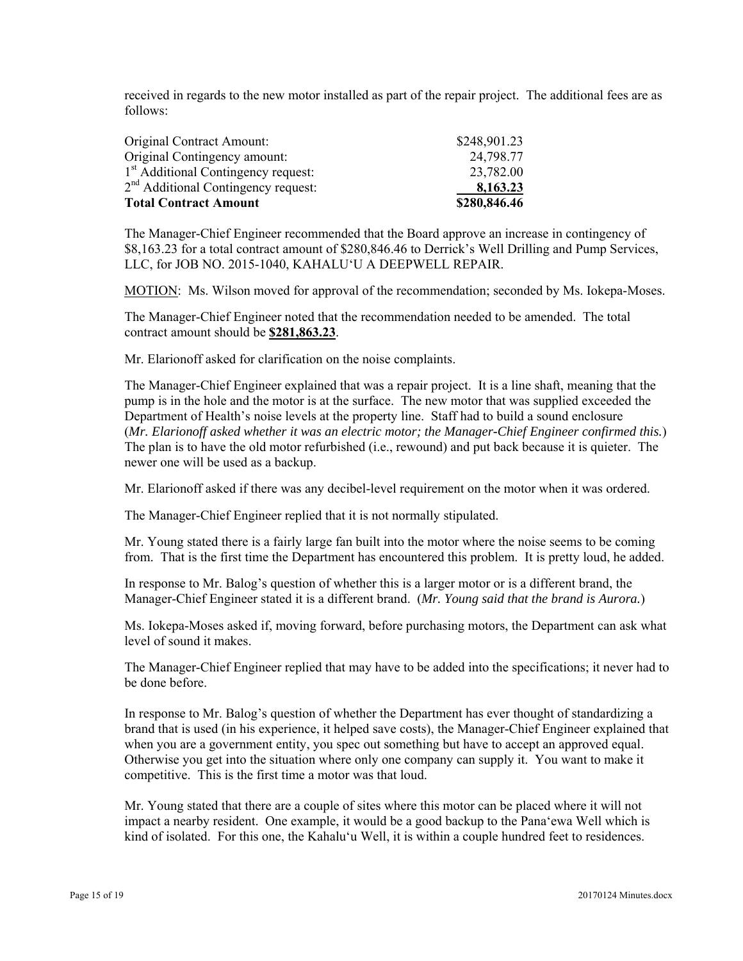received in regards to the new motor installed as part of the repair project. The additional fees are as follows:

| Original Contract Amount:                       | \$248,901.23 |
|-------------------------------------------------|--------------|
| Original Contingency amount:                    | 24,798.77    |
| 1 <sup>st</sup> Additional Contingency request: | 23,782.00    |
| 2 <sup>nd</sup> Additional Contingency request: | 8,163.23     |
| <b>Total Contract Amount</b>                    | \$280,846.46 |

The Manager-Chief Engineer recommended that the Board approve an increase in contingency of \$8,163.23 for a total contract amount of \$280,846.46 to Derrick's Well Drilling and Pump Services, LLC, for JOB NO. 2015-1040, KAHALU'U A DEEPWELL REPAIR.

MOTION: Ms. Wilson moved for approval of the recommendation; seconded by Ms. Iokepa-Moses.

The Manager-Chief Engineer noted that the recommendation needed to be amended. The total contract amount should be **\$281,863.23**.

Mr. Elarionoff asked for clarification on the noise complaints.

The Manager-Chief Engineer explained that was a repair project. It is a line shaft, meaning that the pump is in the hole and the motor is at the surface. The new motor that was supplied exceeded the Department of Health's noise levels at the property line. Staff had to build a sound enclosure (*Mr. Elarionoff asked whether it was an electric motor; the Manager-Chief Engineer confirmed this.*) The plan is to have the old motor refurbished (i.e., rewound) and put back because it is quieter. The newer one will be used as a backup.

Mr. Elarionoff asked if there was any decibel-level requirement on the motor when it was ordered.

The Manager-Chief Engineer replied that it is not normally stipulated.

Mr. Young stated there is a fairly large fan built into the motor where the noise seems to be coming from. That is the first time the Department has encountered this problem. It is pretty loud, he added.

In response to Mr. Balog's question of whether this is a larger motor or is a different brand, the Manager-Chief Engineer stated it is a different brand. (*Mr. Young said that the brand is Aurora.*)

Ms. Iokepa-Moses asked if, moving forward, before purchasing motors, the Department can ask what level of sound it makes.

The Manager-Chief Engineer replied that may have to be added into the specifications; it never had to be done before.

In response to Mr. Balog's question of whether the Department has ever thought of standardizing a brand that is used (in his experience, it helped save costs), the Manager-Chief Engineer explained that when you are a government entity, you spec out something but have to accept an approved equal. Otherwise you get into the situation where only one company can supply it. You want to make it competitive. This is the first time a motor was that loud.

Mr. Young stated that there are a couple of sites where this motor can be placed where it will not impact a nearby resident. One example, it would be a good backup to the Pana'ewa Well which is kind of isolated. For this one, the Kahalu'u Well, it is within a couple hundred feet to residences.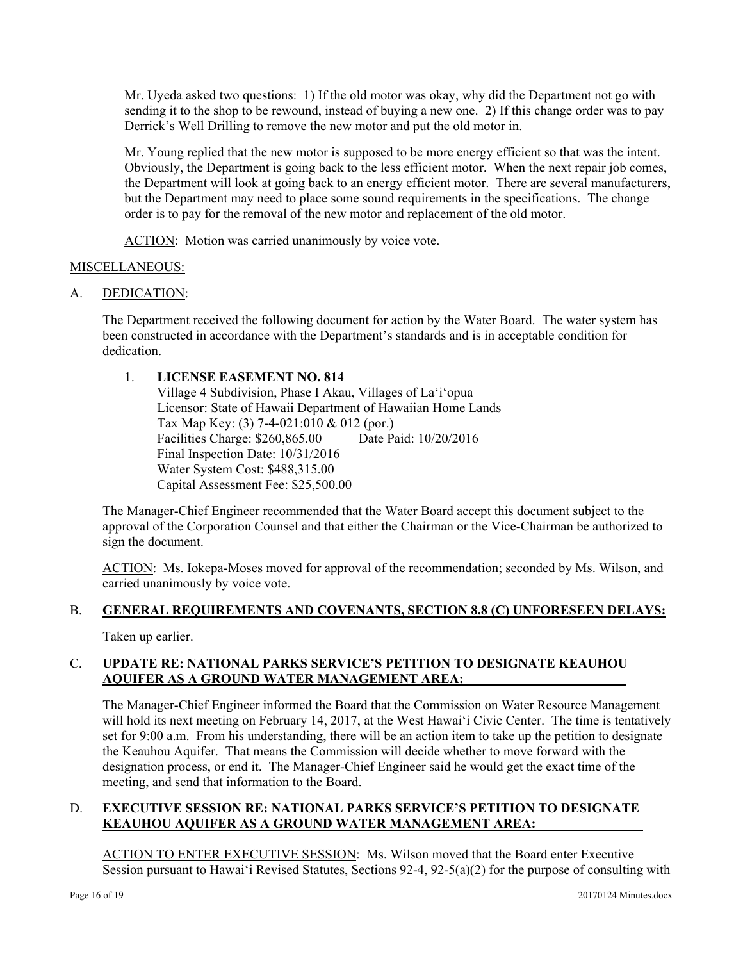Mr. Uyeda asked two questions: 1) If the old motor was okay, why did the Department not go with sending it to the shop to be rewound, instead of buying a new one. 2) If this change order was to pay Derrick's Well Drilling to remove the new motor and put the old motor in.

Mr. Young replied that the new motor is supposed to be more energy efficient so that was the intent. Obviously, the Department is going back to the less efficient motor. When the next repair job comes, the Department will look at going back to an energy efficient motor. There are several manufacturers, but the Department may need to place some sound requirements in the specifications. The change order is to pay for the removal of the new motor and replacement of the old motor.

ACTION: Motion was carried unanimously by voice vote.

# MISCELLANEOUS:

A. DEDICATION:

The Department received the following document for action by the Water Board. The water system has been constructed in accordance with the Department's standards and is in acceptable condition for dedication.

# 1. **LICENSE EASEMENT NO. 814**

Village 4 Subdivision, Phase I Akau, Villages of La'i'opua Licensor: State of Hawaii Department of Hawaiian Home Lands Tax Map Key: (3) 7-4-021:010 & 012 (por.) Facilities Charge: \$260,865.00 Date Paid: 10/20/2016 Final Inspection Date: 10/31/2016 Water System Cost: \$488,315.00 Capital Assessment Fee: \$25,500.00

The Manager-Chief Engineer recommended that the Water Board accept this document subject to the approval of the Corporation Counsel and that either the Chairman or the Vice-Chairman be authorized to sign the document.

ACTION: Ms. Iokepa-Moses moved for approval of the recommendation; seconded by Ms. Wilson, and carried unanimously by voice vote.

# B. **GENERAL REQUIREMENTS AND COVENANTS, SECTION 8.8 (C) UNFORESEEN DELAYS:**

Taken up earlier.

# C. **UPDATE RE: NATIONAL PARKS SERVICE'S PETITION TO DESIGNATE KEAUHOU AQUIFER AS A GROUND WATER MANAGEMENT AREA:**

The Manager-Chief Engineer informed the Board that the Commission on Water Resource Management will hold its next meeting on February 14, 2017, at the West Hawai'i Civic Center. The time is tentatively set for 9:00 a.m. From his understanding, there will be an action item to take up the petition to designate the Keauhou Aquifer. That means the Commission will decide whether to move forward with the designation process, or end it. The Manager-Chief Engineer said he would get the exact time of the meeting, and send that information to the Board.

# D. **EXECUTIVE SESSION RE: NATIONAL PARKS SERVICE'S PETITION TO DESIGNATE KEAUHOU AQUIFER AS A GROUND WATER MANAGEMENT AREA:**

ACTION TO ENTER EXECUTIVE SESSION: Ms. Wilson moved that the Board enter Executive Session pursuant to Hawai'i Revised Statutes, Sections 92-4, 92-5(a)(2) for the purpose of consulting with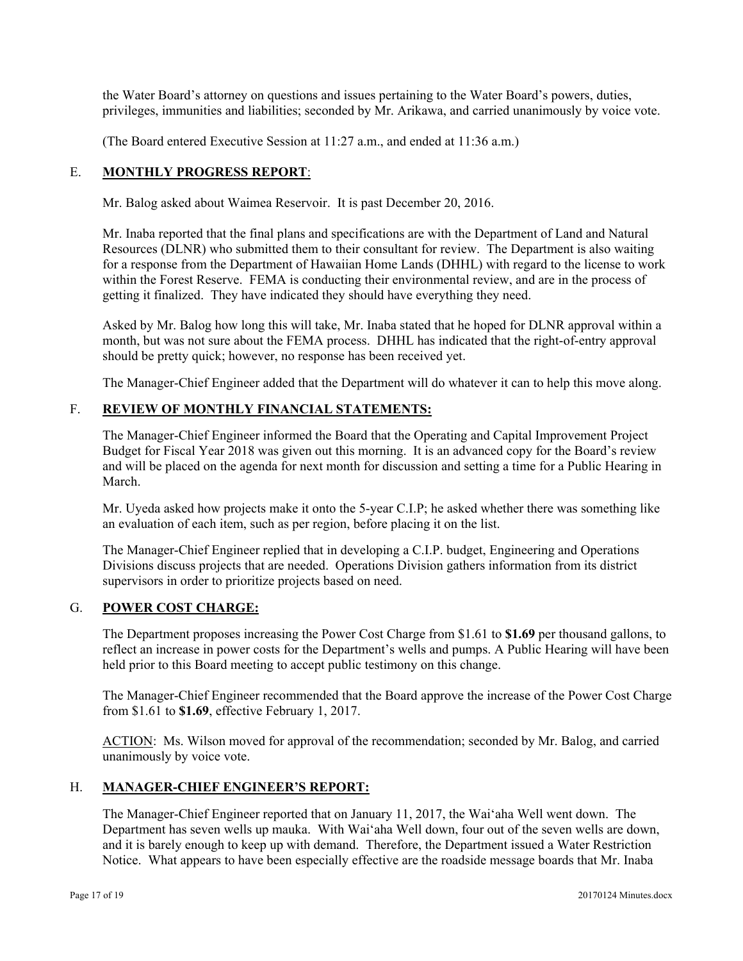the Water Board's attorney on questions and issues pertaining to the Water Board's powers, duties, privileges, immunities and liabilities; seconded by Mr. Arikawa, and carried unanimously by voice vote.

(The Board entered Executive Session at 11:27 a.m., and ended at 11:36 a.m.)

# E. **MONTHLY PROGRESS REPORT**:

Mr. Balog asked about Waimea Reservoir. It is past December 20, 2016.

Mr. Inaba reported that the final plans and specifications are with the Department of Land and Natural Resources (DLNR) who submitted them to their consultant for review. The Department is also waiting for a response from the Department of Hawaiian Home Lands (DHHL) with regard to the license to work within the Forest Reserve. FEMA is conducting their environmental review, and are in the process of getting it finalized. They have indicated they should have everything they need.

Asked by Mr. Balog how long this will take, Mr. Inaba stated that he hoped for DLNR approval within a month, but was not sure about the FEMA process. DHHL has indicated that the right-of-entry approval should be pretty quick; however, no response has been received yet.

The Manager-Chief Engineer added that the Department will do whatever it can to help this move along.

# F. **REVIEW OF MONTHLY FINANCIAL STATEMENTS:**

The Manager-Chief Engineer informed the Board that the Operating and Capital Improvement Project Budget for Fiscal Year 2018 was given out this morning. It is an advanced copy for the Board's review and will be placed on the agenda for next month for discussion and setting a time for a Public Hearing in March.

Mr. Uyeda asked how projects make it onto the 5-year C.I.P; he asked whether there was something like an evaluation of each item, such as per region, before placing it on the list.

The Manager-Chief Engineer replied that in developing a C.I.P. budget, Engineering and Operations Divisions discuss projects that are needed. Operations Division gathers information from its district supervisors in order to prioritize projects based on need.

# G. **POWER COST CHARGE:**

The Department proposes increasing the Power Cost Charge from \$1.61 to **\$1.69** per thousand gallons, to reflect an increase in power costs for the Department's wells and pumps. A Public Hearing will have been held prior to this Board meeting to accept public testimony on this change.

The Manager-Chief Engineer recommended that the Board approve the increase of the Power Cost Charge from \$1.61 to **\$1.69**, effective February 1, 2017.

ACTION: Ms. Wilson moved for approval of the recommendation; seconded by Mr. Balog, and carried unanimously by voice vote.

# H. **MANAGER-CHIEF ENGINEER'S REPORT:**

The Manager-Chief Engineer reported that on January 11, 2017, the Wai'aha Well went down. The Department has seven wells up mauka. With Wai'aha Well down, four out of the seven wells are down, and it is barely enough to keep up with demand. Therefore, the Department issued a Water Restriction Notice. What appears to have been especially effective are the roadside message boards that Mr. Inaba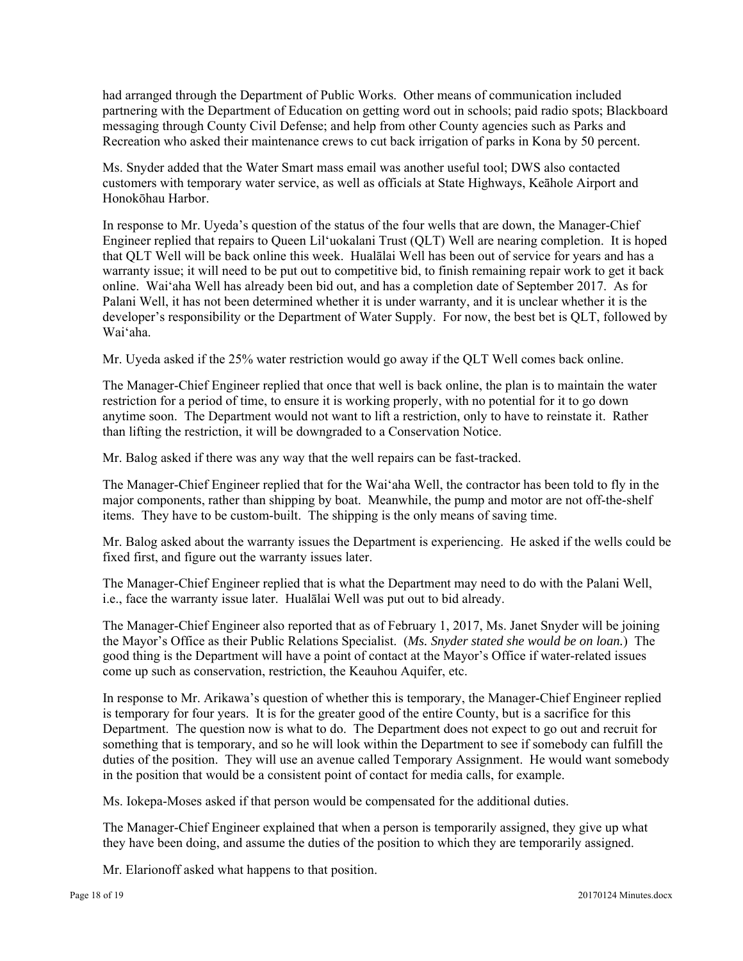had arranged through the Department of Public Works. Other means of communication included partnering with the Department of Education on getting word out in schools; paid radio spots; Blackboard messaging through County Civil Defense; and help from other County agencies such as Parks and Recreation who asked their maintenance crews to cut back irrigation of parks in Kona by 50 percent.

Ms. Snyder added that the Water Smart mass email was another useful tool; DWS also contacted customers with temporary water service, as well as officials at State Highways, Keāhole Airport and Honokōhau Harbor.

In response to Mr. Uyeda's question of the status of the four wells that are down, the Manager-Chief Engineer replied that repairs to Queen Lil'uokalani Trust (QLT) Well are nearing completion. It is hoped that QLT Well will be back online this week. Hualālai Well has been out of service for years and has a warranty issue; it will need to be put out to competitive bid, to finish remaining repair work to get it back online. Wai'aha Well has already been bid out, and has a completion date of September 2017. As for Palani Well, it has not been determined whether it is under warranty, and it is unclear whether it is the developer's responsibility or the Department of Water Supply. For now, the best bet is QLT, followed by Wai'aha.

Mr. Uyeda asked if the 25% water restriction would go away if the QLT Well comes back online.

The Manager-Chief Engineer replied that once that well is back online, the plan is to maintain the water restriction for a period of time, to ensure it is working properly, with no potential for it to go down anytime soon. The Department would not want to lift a restriction, only to have to reinstate it. Rather than lifting the restriction, it will be downgraded to a Conservation Notice.

Mr. Balog asked if there was any way that the well repairs can be fast-tracked.

The Manager-Chief Engineer replied that for the Wai'aha Well, the contractor has been told to fly in the major components, rather than shipping by boat. Meanwhile, the pump and motor are not off-the-shelf items. They have to be custom-built. The shipping is the only means of saving time.

Mr. Balog asked about the warranty issues the Department is experiencing. He asked if the wells could be fixed first, and figure out the warranty issues later.

i.e., face the warranty issue later. Hualalai Well was put out to bid already. The Manager-Chief Engineer replied that is what the Department may need to do with the Palani Well,

The Manager-Chief Engineer also reported that as of February 1, 2017, Ms. Janet Snyder will be joining the Mayor's Office as their Public Relations Specialist. (*Ms. Snyder stated she would be on loan.*) The good thing is the Department will have a point of contact at the Mayor's Office if water-related issues come up such as conservation, restriction, the Keauhou Aquifer, etc.

In response to Mr. Arikawa's question of whether this is temporary, the Manager-Chief Engineer replied is temporary for four years. It is for the greater good of the entire County, but is a sacrifice for this Department. The question now is what to do. The Department does not expect to go out and recruit for something that is temporary, and so he will look within the Department to see if somebody can fulfill the duties of the position. They will use an avenue called Temporary Assignment. He would want somebody in the position that would be a consistent point of contact for media calls, for example.

Ms. Iokepa-Moses asked if that person would be compensated for the additional duties.

The Manager-Chief Engineer explained that when a person is temporarily assigned, they give up what they have been doing, and assume the duties of the position to which they are temporarily assigned.

Mr. Elarionoff asked what happens to that position.